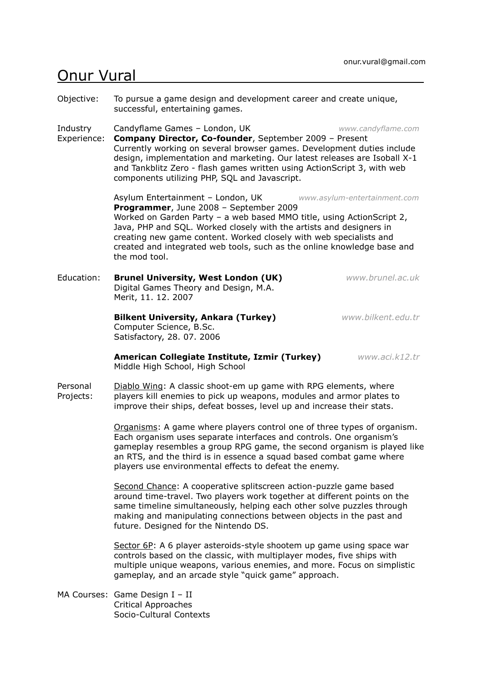## Onur Vural

Objective: To pursue a game design and development career and create unique, successful, entertaining games.

Industry Candyflame Games – London, UK *www.candyflame.com*

Experience: **Company Director, Co-founder**, September 2009 – Present Currently working on several browser games. Development duties include design, implementation and marketing. Our latest releases are Isoball X-1 and Tankblitz Zero - flash games written using ActionScript 3, with web components utilizing PHP, SQL and Javascript.

> Asylum Entertainment – London, UK *www.asylum-entertainment.com* **Programmer**, June 2008 – September 2009 Worked on Garden Party – a web based MMO title, using ActionScript 2, Java, PHP and SQL. Worked closely with the artists and designers in creating new game content. Worked closely with web specialists and created and integrated web tools, such as the online knowledge base and the mod tool.

Education: **Brunel University, West London (UK)** *www.brunel.ac.uk* Digital Games Theory and Design, M.A. Merit, 11. 12. 2007

## **Bilkent University, Ankara (Turkey)** *www.bilkent.edu.tr*

Computer Science, B.Sc. Satisfactory, 28. 07. 2006

**American Collegiate Institute, Izmir (Turkey)** *www.aci.k12.tr* Middle High School, High School

Personal Diablo Wing: A classic shoot-em up game with RPG elements, where Projects: players kill enemies to pick up weapons, modules and armor plates to improve their ships, defeat bosses, level up and increase their stats.

> Organisms: A game where players control one of three types of organism. Each organism uses separate interfaces and controls. One organism's gameplay resembles a group RPG game, the second organism is played like an RTS, and the third is in essence a squad based combat game where players use environmental effects to defeat the enemy.

Second Chance: A cooperative splitscreen action-puzzle game based around time-travel. Two players work together at different points on the same timeline simultaneously, helping each other solve puzzles through making and manipulating connections between objects in the past and future. Designed for the Nintendo DS.

Sector 6P: A 6 player asteroids-style shootem up game using space war controls based on the classic, with multiplayer modes, five ships with multiple unique weapons, various enemies, and more. Focus on simplistic gameplay, and an arcade style "quick game" approach.

MA Courses: Game Design I – II Critical Approaches Socio-Cultural Contexts